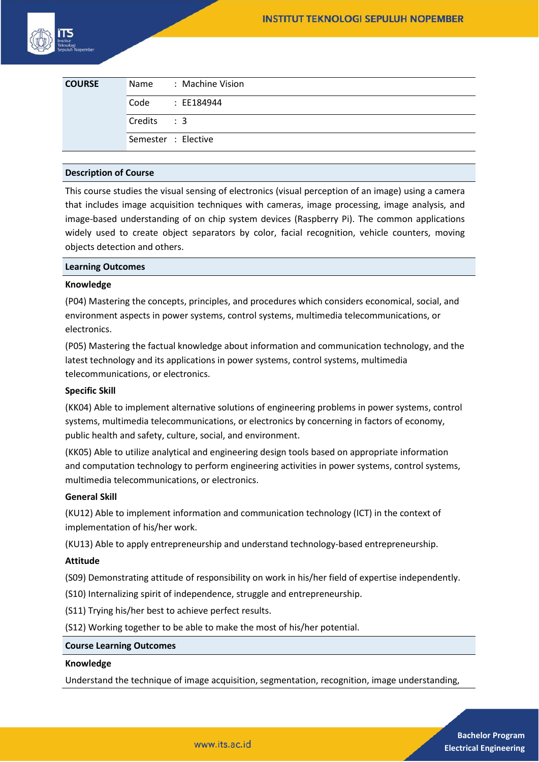| <b>COURSE</b> | Name : Machine Vision |
|---------------|-----------------------|
|               | Code : EE184944       |
|               | Credits: 3            |
|               | Semester : Elective   |

# **Description of Course**

This course studies the visual sensing of electronics (visual perception of an image) using a camera that includes image acquisition techniques with cameras, image processing, image analysis, and image-based understanding of on chip system devices (Raspberry Pi). The common applications widely used to create object separators by color, facial recognition, vehicle counters, moving objects detection and others.

### **Learning Outcomes**

### **Knowledge**

(P04) Mastering the concepts, principles, and procedures which considers economical, social, and environment aspects in power systems, control systems, multimedia telecommunications, or electronics.

(P05) Mastering the factual knowledge about information and communication technology, and the latest technology and its applications in power systems, control systems, multimedia telecommunications, or electronics.

# **Specific Skill**

(KK04) Able to implement alternative solutions of engineering problems in power systems, control systems, multimedia telecommunications, or electronics by concerning in factors of economy, public health and safety, culture, social, and environment.

(KK05) Able to utilize analytical and engineering design tools based on appropriate information and computation technology to perform engineering activities in power systems, control systems, multimedia telecommunications, or electronics.

#### **General Skill**

(KU12) Able to implement information and communication technology (ICT) in the context of implementation of his/her work.

(KU13) Able to apply entrepreneurship and understand technology-based entrepreneurship.

#### **Attitude**

(S09) Demonstrating attitude of responsibility on work in his/her field of expertise independently.

(S10) Internalizing spirit of independence, struggle and entrepreneurship.

(S11) Trying his/her best to achieve perfect results.

(S12) Working together to be able to make the most of his/her potential.

#### **Course Learning Outcomes**

#### **Knowledge**

Understand the technique of image acquisition, segmentation, recognition, image understanding,